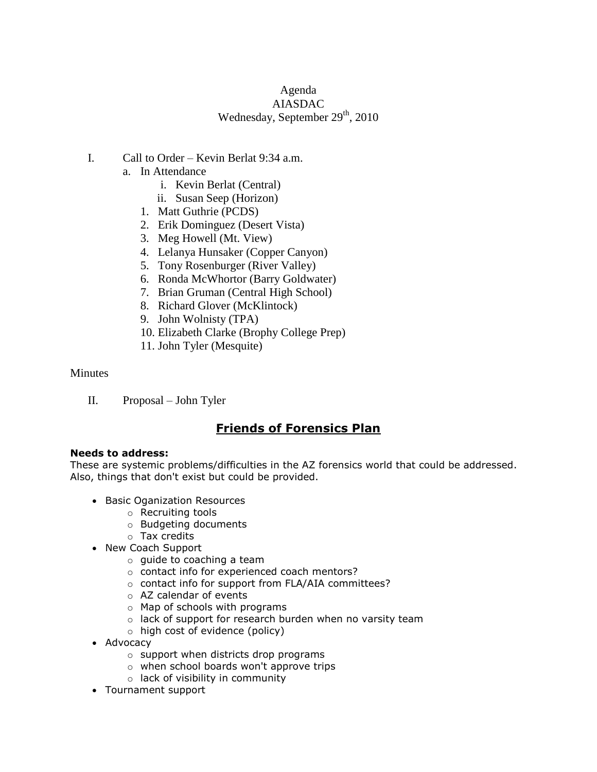# Agenda AIASDAC Wednesday, September 29<sup>th</sup>, 2010

- I. Call to Order Kevin Berlat 9:34 a.m.
	- a. In Attendance
		- i. Kevin Berlat (Central)
		- ii. Susan Seep (Horizon)
		- 1. Matt Guthrie (PCDS)
		- 2. Erik Dominguez (Desert Vista)
		- 3. Meg Howell (Mt. View)
		- 4. Lelanya Hunsaker (Copper Canyon)
		- 5. Tony Rosenburger (River Valley)
		- 6. Ronda McWhortor (Barry Goldwater)
		- 7. Brian Gruman (Central High School)
		- 8. Richard Glover (McKlintock)
		- 9. John Wolnisty (TPA)
		- 10. Elizabeth Clarke (Brophy College Prep)
		- 11. John Tyler (Mesquite)

#### **Minutes**

II. Proposal – John Tyler

# **Friends of Forensics Plan**

#### **Needs to address:**

These are systemic problems/difficulties in the AZ forensics world that could be addressed. Also, things that don't exist but could be provided.

- **Basic Oganization Resources** 
	- o Recruiting tools
	- o Budgeting documents
	- o Tax credits
- New Coach Support
	- o guide to coaching a team
	- o contact info for experienced coach mentors?
	- o contact info for support from FLA/AIA committees?
	- o AZ calendar of events
	- o Map of schools with programs
	- o lack of support for research burden when no varsity team
	- o high cost of evidence (policy)
- Advocacy
	- o support when districts drop programs
	- o when school boards won't approve trips
	- o lack of visibility in community
- Tournament support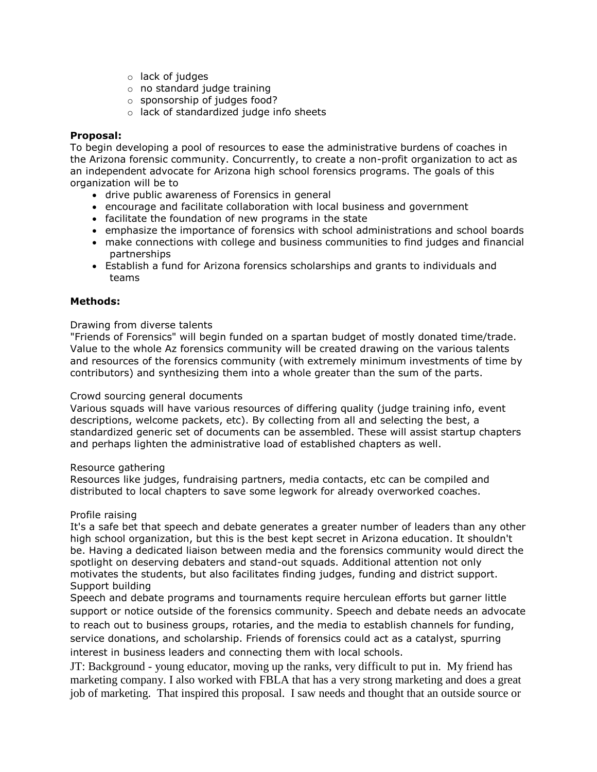- o lack of judges
- o no standard judge training
- o sponsorship of judges food?
- o lack of standardized judge info sheets

## **Proposal:**

To begin developing a pool of resources to ease the administrative burdens of coaches in the Arizona forensic community. Concurrently, to create a non-profit organization to act as an independent advocate for Arizona high school forensics programs. The goals of this organization will be to

- drive public awareness of Forensics in general
- encourage and facilitate collaboration with local business and government
- facilitate the foundation of new programs in the state
- emphasize the importance of forensics with school administrations and school boards
- make connections with college and business communities to find judges and financial partnerships
- Establish a fund for Arizona forensics scholarships and grants to individuals and teams

#### **Methods:**

#### Drawing from diverse talents

"Friends of Forensics" will begin funded on a spartan budget of mostly donated time/trade. Value to the whole Az forensics community will be created drawing on the various talents and resources of the forensics community (with extremely minimum investments of time by contributors) and synthesizing them into a whole greater than the sum of the parts.

#### Crowd sourcing general documents

Various squads will have various resources of differing quality (judge training info, event descriptions, welcome packets, etc). By collecting from all and selecting the best, a standardized generic set of documents can be assembled. These will assist startup chapters and perhaps lighten the administrative load of established chapters as well.

#### Resource gathering

Resources like judges, fundraising partners, media contacts, etc can be compiled and distributed to local chapters to save some legwork for already overworked coaches.

#### Profile raising

It's a safe bet that speech and debate generates a greater number of leaders than any other high school organization, but this is the best kept secret in Arizona education. It shouldn't be. Having a dedicated liaison between media and the forensics community would direct the spotlight on deserving debaters and stand-out squads. Additional attention not only motivates the students, but also facilitates finding judges, funding and district support. Support building

Speech and debate programs and tournaments require herculean efforts but garner little support or notice outside of the forensics community. Speech and debate needs an advocate to reach out to business groups, rotaries, and the media to establish channels for funding, service donations, and scholarship. Friends of forensics could act as a catalyst, spurring interest in business leaders and connecting them with local schools.

JT: Background - young educator, moving up the ranks, very difficult to put in. My friend has marketing company. I also worked with FBLA that has a very strong marketing and does a great job of marketing. That inspired this proposal. I saw needs and thought that an outside source or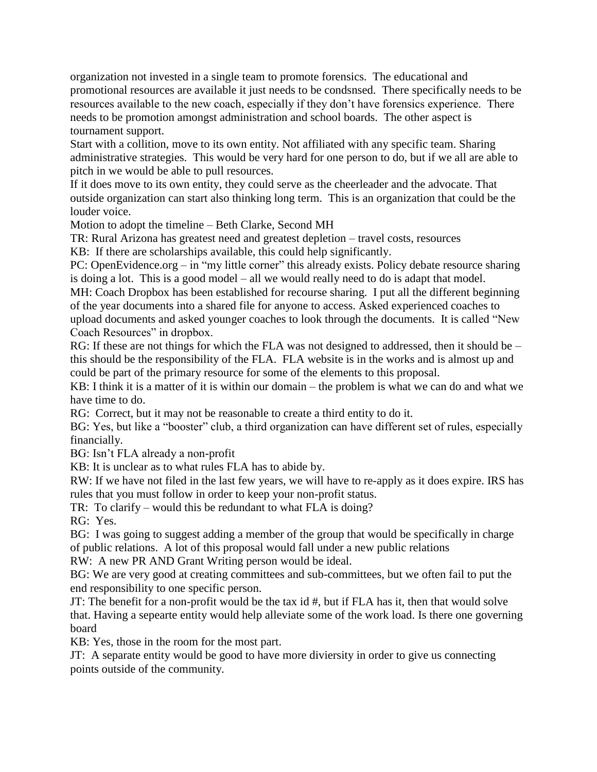organization not invested in a single team to promote forensics. The educational and promotional resources are available it just needs to be condsnsed. There specifically needs to be resources available to the new coach, especially if they don't have forensics experience. There needs to be promotion amongst administration and school boards. The other aspect is tournament support.

Start with a collition, move to its own entity. Not affiliated with any specific team. Sharing administrative strategies. This would be very hard for one person to do, but if we all are able to pitch in we would be able to pull resources.

If it does move to its own entity, they could serve as the cheerleader and the advocate. That outside organization can start also thinking long term. This is an organization that could be the louder voice.

Motion to adopt the timeline – Beth Clarke, Second MH

TR: Rural Arizona has greatest need and greatest depletion – travel costs, resources

KB: If there are scholarships available, this could help significantly.

PC: OpenEvidence.org – in "my little corner" this already exists. Policy debate resource sharing is doing a lot. This is a good model – all we would really need to do is adapt that model.

MH: Coach Dropbox has been established for recourse sharing. I put all the different beginning of the year documents into a shared file for anyone to access. Asked experienced coaches to upload documents and asked younger coaches to look through the documents. It is called "New Coach Resources" in dropbox.

RG: If these are not things for which the FLA was not designed to addressed, then it should be – this should be the responsibility of the FLA. FLA website is in the works and is almost up and could be part of the primary resource for some of the elements to this proposal.

KB: I think it is a matter of it is within our domain – the problem is what we can do and what we have time to do.

RG: Correct, but it may not be reasonable to create a third entity to do it.

BG: Yes, but like a "booster" club, a third organization can have different set of rules, especially financially.

BG: Isn't FLA already a non-profit

KB: It is unclear as to what rules FLA has to abide by.

RW: If we have not filed in the last few years, we will have to re-apply as it does expire. IRS has rules that you must follow in order to keep your non-profit status.

TR: To clarify – would this be redundant to what FLA is doing?

RG: Yes.

BG: I was going to suggest adding a member of the group that would be specifically in charge of public relations. A lot of this proposal would fall under a new public relations

RW: A new PR AND Grant Writing person would be ideal.

BG: We are very good at creating committees and sub-committees, but we often fail to put the end responsibility to one specific person.

JT: The benefit for a non-profit would be the tax id #, but if FLA has it, then that would solve that. Having a sepearte entity would help alleviate some of the work load. Is there one governing board

KB: Yes, those in the room for the most part.

JT: A separate entity would be good to have more diviersity in order to give us connecting points outside of the community.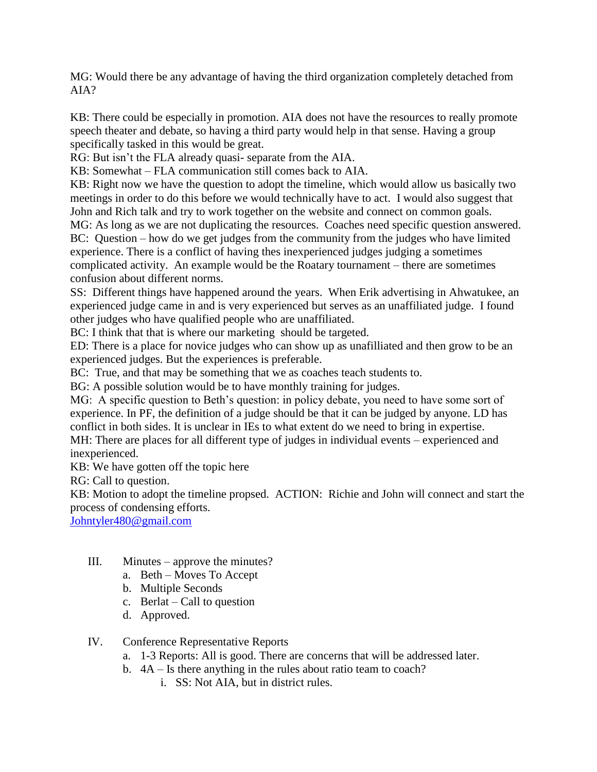MG: Would there be any advantage of having the third organization completely detached from AIA?

KB: There could be especially in promotion. AIA does not have the resources to really promote speech theater and debate, so having a third party would help in that sense. Having a group specifically tasked in this would be great.

RG: But isn't the FLA already quasi- separate from the AIA.

KB: Somewhat – FLA communication still comes back to AIA.

KB: Right now we have the question to adopt the timeline, which would allow us basically two meetings in order to do this before we would technically have to act. I would also suggest that John and Rich talk and try to work together on the website and connect on common goals.

MG: As long as we are not duplicating the resources. Coaches need specific question answered. BC: Question – how do we get judges from the community from the judges who have limited experience. There is a conflict of having thes inexperienced judges judging a sometimes complicated activity. An example would be the Roatary tournament – there are sometimes confusion about different norms.

SS: Different things have happened around the years. When Erik advertising in Ahwatukee, an experienced judge came in and is very experienced but serves as an unaffiliated judge. I found other judges who have qualified people who are unaffiliated.

BC: I think that that is where our marketing should be targeted.

ED: There is a place for novice judges who can show up as unafilliated and then grow to be an experienced judges. But the experiences is preferable.

BC: True, and that may be something that we as coaches teach students to.

BG: A possible solution would be to have monthly training for judges.

MG: A specific question to Beth's question: in policy debate, you need to have some sort of experience. In PF, the definition of a judge should be that it can be judged by anyone. LD has conflict in both sides. It is unclear in IEs to what extent do we need to bring in expertise.

MH: There are places for all different type of judges in individual events – experienced and inexperienced.

KB: We have gotten off the topic here

RG: Call to question.

KB: Motion to adopt the timeline propsed. ACTION: Richie and John will connect and start the process of condensing efforts.

[Johntyler480@gmail.com](mailto:Johntyler480@gmail.com)

- III. Minutes approve the minutes?
	- a. Beth Moves To Accept
	- b. Multiple Seconds
	- c. Berlat Call to question
	- d. Approved.

IV. Conference Representative Reports

- a. 1-3 Reports: All is good. There are concerns that will be addressed later.
- b. 4A Is there anything in the rules about ratio team to coach?
	- i. SS: Not AIA, but in district rules.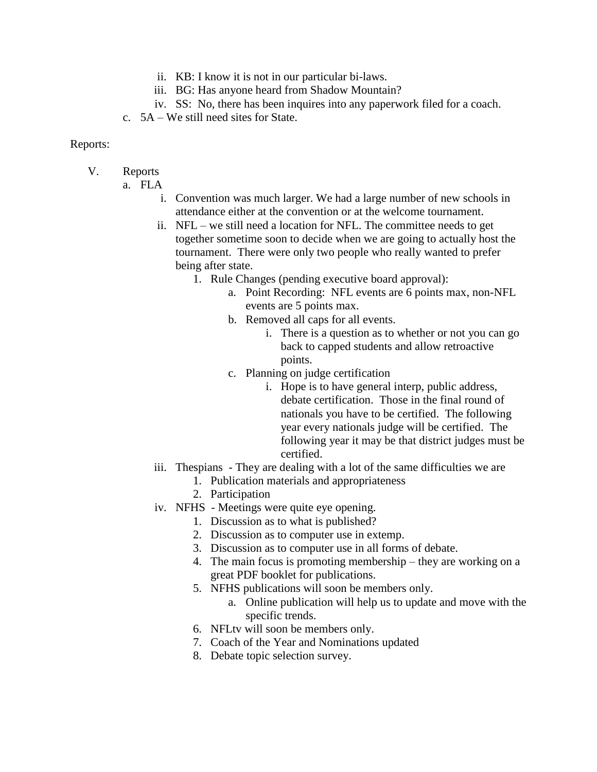- ii. KB: I know it is not in our particular bi-laws.
- iii. BG: Has anyone heard from Shadow Mountain?
- iv. SS: No, there has been inquires into any paperwork filed for a coach.
- c. 5A We still need sites for State.

## Reports:

- V. Reports
	- a. FLA
		- i. Convention was much larger. We had a large number of new schools in attendance either at the convention or at the welcome tournament.
		- ii. NFL we still need a location for NFL. The committee needs to get together sometime soon to decide when we are going to actually host the tournament. There were only two people who really wanted to prefer being after state.
			- 1. Rule Changes (pending executive board approval):
				- a. Point Recording: NFL events are 6 points max, non-NFL events are 5 points max.
				- b. Removed all caps for all events.
					- i. There is a question as to whether or not you can go back to capped students and allow retroactive points.
				- c. Planning on judge certification
					- i. Hope is to have general interp, public address, debate certification. Those in the final round of nationals you have to be certified. The following year every nationals judge will be certified. The following year it may be that district judges must be certified.
		- iii. Thespians They are dealing with a lot of the same difficulties we are
			- 1. Publication materials and appropriateness
			- 2. Participation
		- iv. NFHS Meetings were quite eye opening.
			- 1. Discussion as to what is published?
			- 2. Discussion as to computer use in extemp.
			- 3. Discussion as to computer use in all forms of debate.
			- 4. The main focus is promoting membership they are working on a great PDF booklet for publications.
			- 5. NFHS publications will soon be members only.
				- a. Online publication will help us to update and move with the specific trends.
			- 6. NFLtv will soon be members only.
			- 7. Coach of the Year and Nominations updated
			- 8. Debate topic selection survey.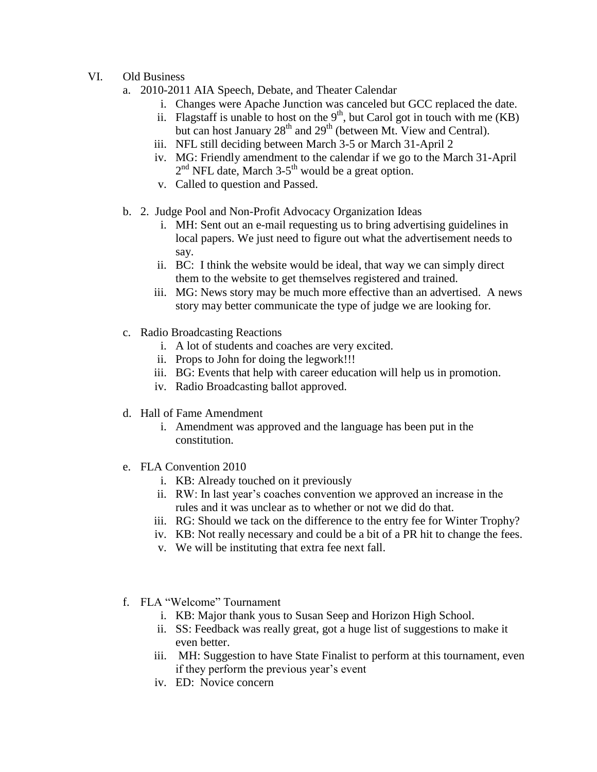- VI. Old Business
	- a. 2010-2011 AIA Speech, Debate, and Theater Calendar
		- i. Changes were Apache Junction was canceled but GCC replaced the date.
		- ii. Flagstaff is unable to host on the  $9<sup>th</sup>$ , but Carol got in touch with me (KB) but can host January  $28<sup>th</sup>$  and  $29<sup>th</sup>$  (between Mt. View and Central).
		- iii. NFL still deciding between March 3-5 or March 31-April 2
		- iv. MG: Friendly amendment to the calendar if we go to the March 31-April  $2<sup>nd</sup>$  NFL date, March 3-5<sup>th</sup> would be a great option.
		- v. Called to question and Passed.
	- b. 2. Judge Pool and Non-Profit Advocacy Organization Ideas
		- i. MH: Sent out an e-mail requesting us to bring advertising guidelines in local papers. We just need to figure out what the advertisement needs to say.
		- ii. BC: I think the website would be ideal, that way we can simply direct them to the website to get themselves registered and trained.
		- iii. MG: News story may be much more effective than an advertised. A news story may better communicate the type of judge we are looking for.
	- c. Radio Broadcasting Reactions
		- i. A lot of students and coaches are very excited.
		- ii. Props to John for doing the legwork!!!
		- iii. BG: Events that help with career education will help us in promotion.
		- iv. Radio Broadcasting ballot approved.
	- d. Hall of Fame Amendment
		- i. Amendment was approved and the language has been put in the constitution.
	- e. FLA Convention 2010
		- i. KB: Already touched on it previously
		- ii. RW: In last year's coaches convention we approved an increase in the rules and it was unclear as to whether or not we did do that.
		- iii. RG: Should we tack on the difference to the entry fee for Winter Trophy?
		- iv. KB: Not really necessary and could be a bit of a PR hit to change the fees.
		- v. We will be instituting that extra fee next fall.
	- f. FLA "Welcome" Tournament
		- i. KB: Major thank yous to Susan Seep and Horizon High School.
		- ii. SS: Feedback was really great, got a huge list of suggestions to make it even better.
		- iii. MH: Suggestion to have State Finalist to perform at this tournament, even if they perform the previous year's event
		- iv. ED: Novice concern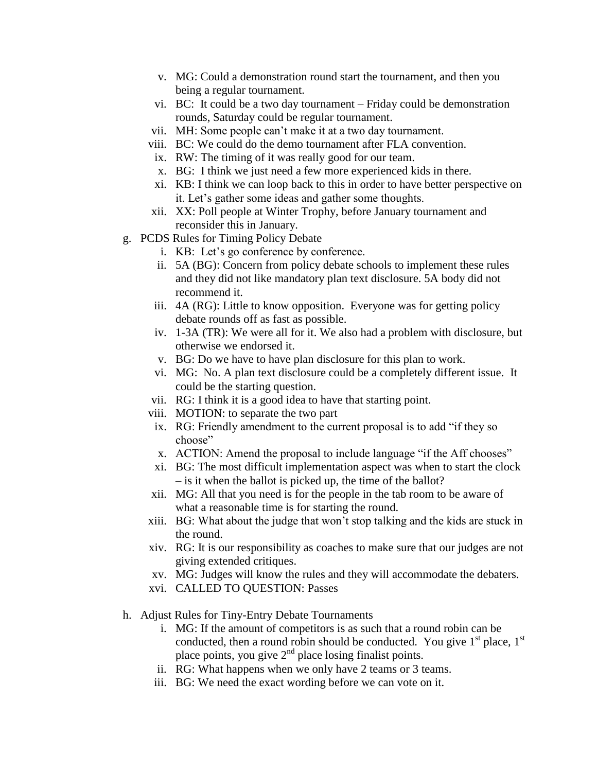- v. MG: Could a demonstration round start the tournament, and then you being a regular tournament.
- vi. BC: It could be a two day tournament Friday could be demonstration rounds, Saturday could be regular tournament.
- vii. MH: Some people can't make it at a two day tournament.
- viii. BC: We could do the demo tournament after FLA convention.
- ix. RW: The timing of it was really good for our team.
- x. BG: I think we just need a few more experienced kids in there.
- xi. KB: I think we can loop back to this in order to have better perspective on it. Let's gather some ideas and gather some thoughts.
- xii. XX: Poll people at Winter Trophy, before January tournament and reconsider this in January.
- g. PCDS Rules for Timing Policy Debate
	- i. KB: Let's go conference by conference.
	- ii. 5A (BG): Concern from policy debate schools to implement these rules and they did not like mandatory plan text disclosure. 5A body did not recommend it.
	- iii. 4A (RG): Little to know opposition. Everyone was for getting policy debate rounds off as fast as possible.
	- iv. 1-3A (TR): We were all for it. We also had a problem with disclosure, but otherwise we endorsed it.
	- v. BG: Do we have to have plan disclosure for this plan to work.
	- vi. MG: No. A plan text disclosure could be a completely different issue. It could be the starting question.
	- vii. RG: I think it is a good idea to have that starting point.
	- viii. MOTION: to separate the two part
	- ix. RG: Friendly amendment to the current proposal is to add "if they so choose"
	- x. ACTION: Amend the proposal to include language "if the Aff chooses"
	- xi. BG: The most difficult implementation aspect was when to start the clock – is it when the ballot is picked up, the time of the ballot?
	- xii. MG: All that you need is for the people in the tab room to be aware of what a reasonable time is for starting the round.
	- xiii. BG: What about the judge that won't stop talking and the kids are stuck in the round.
	- xiv. RG: It is our responsibility as coaches to make sure that our judges are not giving extended critiques.
	- xv. MG: Judges will know the rules and they will accommodate the debaters.
	- xvi. CALLED TO QUESTION: Passes
- h. Adjust Rules for Tiny-Entry Debate Tournaments
	- i. MG: If the amount of competitors is as such that a round robin can be conducted, then a round robin should be conducted. You give  $1<sup>st</sup>$  place,  $1<sup>st</sup>$ place points, you give 2<sup>nd</sup> place losing finalist points.
	- ii. RG: What happens when we only have 2 teams or 3 teams.
	- iii. BG: We need the exact wording before we can vote on it.